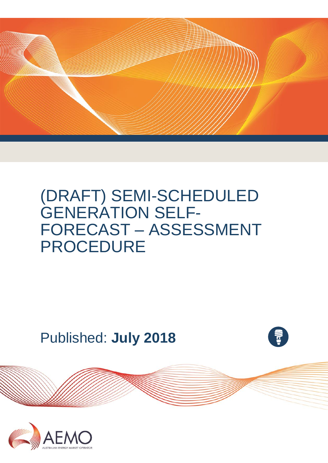

# (DRAFT) SEMI-SCHEDULED GENERATION SELF-FORECAST – ASSESSMENT PROCEDURE

Published: **July 2018**



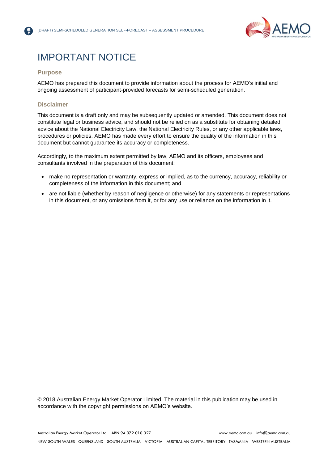

# IMPORTANT NOTICE

#### **Purpose**

AEMO has prepared this document to provide information about the process for AEMO's initial and ongoing assessment of participant-provided forecasts for semi-scheduled generation.

#### **Disclaimer**

This document is a draft only and may be subsequently updated or amended. This document does not constitute legal or business advice, and should not be relied on as a substitute for obtaining detailed advice about the National Electricity Law, the National Electricity Rules, or any other applicable laws, procedures or policies. AEMO has made every effort to ensure the quality of the information in this document but cannot guarantee its accuracy or completeness.

Accordingly, to the maximum extent permitted by law, AEMO and its officers, employees and consultants involved in the preparation of this document:

- make no representation or warranty, express or implied, as to the currency, accuracy, reliability or completeness of the information in this document; and
- are not liable (whether by reason of negligence or otherwise) for any statements or representations in this document, or any omissions from it, or for any use or reliance on the information in it.

© 2018 Australian Energy Market Operator Limited. The material in this publication may be used in accordance with the [copyright permissions on AEMO's website.](http://aemo.com.au/Privacy_and_Legal_Notices/Copyright_Permissions_Notice)

Australian Energy Market Operator Ltd ABN 94 072 010 327 [www.aemo.com.au](http://www.aemo.com.au/) [info@aemo.com.au](mailto:info@aemo.com.au)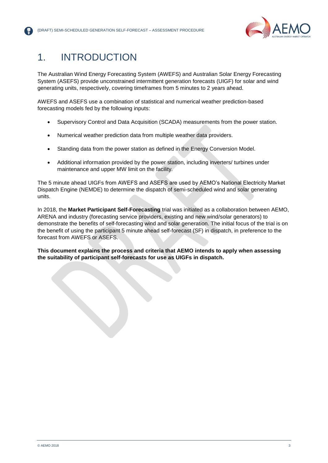

# 1. INTRODUCTION

The Australian Wind Energy Forecasting System (AWEFS) and Australian Solar Energy Forecasting System (ASEFS) provide unconstrained intermittent generation forecasts (UIGF) for solar and wind generating units, respectively, covering timeframes from 5 minutes to 2 years ahead.

AWEFS and ASEFS use a combination of statistical and numerical weather prediction-based forecasting models fed by the following inputs:

- Supervisory Control and Data Acquisition (SCADA) measurements from the power station.
- Numerical weather prediction data from multiple weather data providers.
- Standing data from the power station as defined in the Energy Conversion Model.
- Additional information provided by the power station, including inverters/ turbines under maintenance and upper MW limit on the facility.

The 5 minute ahead UIGFs from AWEFS and ASEFS are used by AEMO's National Electricity Market Dispatch Engine (NEMDE) to determine the dispatch of semi-scheduled wind and solar generating units.

In 2018, the **Market Participant Self-Forecasting** trial was initiated as a collaboration between AEMO, ARENA and industry (forecasting service providers, existing and new wind/solar generators) to demonstrate the benefits of self-forecasting wind and solar generation. The initial focus of the trial is on the benefit of using the participant 5 minute ahead self-forecast (SF) in dispatch, in preference to the forecast from AWEFS or ASEFS.

**This document explains the process and criteria that AEMO intends to apply when assessing the suitability of participant self-forecasts for use as UIGFs in dispatch.**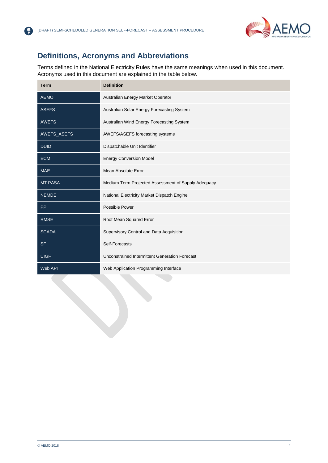

### **Definitions, Acronyms and Abbreviations**

【帚】

Terms defined in the National Electricity Rules have the same meanings when used in this document. Acronyms used in this document are explained in the table below.

| <b>Term</b>    | <b>Definition</b>                                   |
|----------------|-----------------------------------------------------|
| <b>AEMO</b>    | Australian Energy Market Operator                   |
| <b>ASEFS</b>   | Australian Solar Energy Forecasting System          |
| <b>AWEFS</b>   | Australian Wind Energy Forecasting System           |
| AWEFS_ASEFS    | AWEFS/ASEFS forecasting systems                     |
| <b>DUID</b>    | Dispatchable Unit Identifier                        |
| <b>ECM</b>     | <b>Energy Conversion Model</b>                      |
| <b>MAE</b>     | <b>Mean Absolute Error</b>                          |
| <b>MT PASA</b> | Medium Term Projected Assessment of Supply Adequacy |
| <b>NEMDE</b>   | National Electricity Market Dispatch Engine         |
| <b>PP</b>      | Possible Power                                      |
| <b>RMSE</b>    | Root Mean Squared Error                             |
| <b>SCADA</b>   | Supervisory Control and Data Acquisition            |
| <b>SF</b>      | Self-Forecasts                                      |
| <b>UIGF</b>    | Unconstrained Intermittent Generation Forecast      |
| Web API        | Web Application Programming Interface               |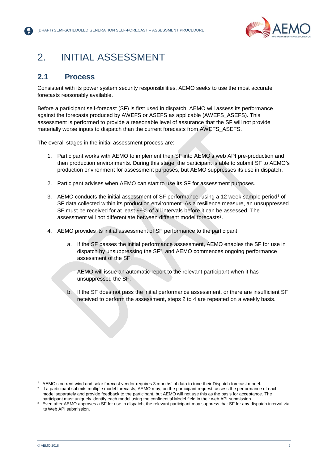

# 2. INITIAL ASSESSMENT

### **2.1 Process**

Consistent with its power system security responsibilities, AEMO seeks to use the most accurate forecasts reasonably available.

Before a participant self-forecast (SF) is first used in dispatch, AEMO will assess its performance against the forecasts produced by AWEFS or ASEFS as applicable (AWEFS\_ASEFS). This assessment is performed to provide a reasonable level of assurance that the SF will not provide materially worse inputs to dispatch than the current forecasts from AWEFS\_ASEFS.

The overall stages in the initial assessment process are:

- 1. Participant works with AEMO to implement their SF into AEMO's web API pre-production and then production environments. During this stage, the participant is able to submit SF to AEMO's production environment for assessment purposes, but AEMO suppresses its use in dispatch.
- 2. Participant advises when AEMO can start to use its SF for assessment purposes.
- 3. AEMO conducts the initial assessment of SF performance, using a 12 week sample period<sup>1</sup> of SF data collected within its production environment. As a resilience measure, an unsuppressed SF must be received for at least 99% of all intervals before it can be assessed. The assessment will not differentiate between different model forecasts<sup>2</sup>.
- 4. AEMO provides its initial assessment of SF performance to the participant:
	- a. If the SF passes the initial performance assessment, AEMO enables the SF for use in dispatch by unsuppressing the SF<sup>3</sup> , and AEMO commences ongoing performance assessment of the SF.

AEMO will issue an automatic report to the relevant participant when it has unsuppressed the SF.

b. If the SF does not pass the initial performance assessment, or there are insufficient SF received to perform the assessment, steps 2 to 4 are repeated on a weekly basis.

l

AEMO's current wind and solar forecast vendor requires 3 months' of data to tune their Dispatch forecast model.

<sup>2</sup> If a participant submits multiple model forecasts, AEMO may, on the participant request, assess the performance of each model separately and provide feedback to the participant, but AEMO will not use this as the basis for acceptance. The participant must uniquely identify each model using the confidential Model field in their web API submission.

<sup>&</sup>lt;sup>3</sup> Even after AEMO approves a SF for use in dispatch, the relevant participant may suppress that SF for any dispatch interval via its Web API submission.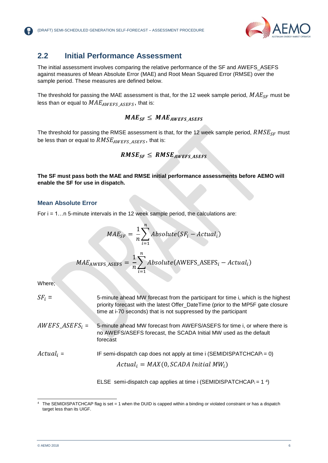

### **2.2 Initial Performance Assessment**

The initial assessment involves comparing the relative performance of the SF and AWEFS\_ASEFS against measures of Mean Absolute Error (MAE) and Root Mean Squared Error (RMSE) over the sample period. These measures are defined below.

The threshold for passing the MAE assessment is that, for the 12 week sample period,  $MAE_{SF}$  must be less than or equal to  $MAE_{AWEFS|ASEFS}$ , that is:

 $MAE_{SF} \leq MAE_{AWFFS ASFFS}$ 

The threshold for passing the RMSE assessment is that, for the 12 week sample period,  $RMSE_{SF}$  must be less than or equal to  $RMSE_{AWEFS\_ASEFS}$ , that is:

$$
RMSE_{SF} \leq RMSE_{AWEFS\_ASEFS}
$$

**The SF must pass both the MAE and RMSE initial performance assessments before AEMO will enable the SF for use in dispatch.**

#### **Mean Absolute Error**

For i = 1…n 5-minute intervals in the 12 week sample period, the calculations are:

$$
MAE_{SF} = \frac{1}{n} \sum_{i=1}^{n} Absolute(SF_i - Actual_i)
$$

$$
MAE_{AWEFS\_ASEFS} = \frac{1}{n} \sum_{i=1}^{n} Absolute(\text{AWEFS\_ASEFS}_i - Actual_i)
$$

Where;

| $SF_i =$           | 5-minute ahead MW forecast from the participant for time i, which is the highest<br>priority forecast with the latest Offer_DateTime (prior to the MP5F gate closure<br>time at i-70 seconds) that is not suppressed by the participant |
|--------------------|-----------------------------------------------------------------------------------------------------------------------------------------------------------------------------------------------------------------------------------------|
| $AWEFS\_ASEFS_i =$ | 5-minute ahead MW forecast from AWEFS/ASEFS for time i, or where there is<br>no AWEFS/ASEFS forecast, the SCADA Initial MW used as the default<br>forecast                                                                              |
| $Actual_i =$       | IF semi-dispatch cap does not apply at time i (SEMIDISPATCHCAP $_i = 0$ )<br>$Actual_i = MAX(0, SCADA Initial MW_i)$                                                                                                                    |

ELSE semi-dispatch cap applies at time i (SEMIDISPATCHCAP $_i = 14$ )

l

<sup>4</sup> The SEMIDISPATCHCAP flag is set = 1 when the DUID is capped within a binding or violated constraint or has a dispatch target less than its UIGF.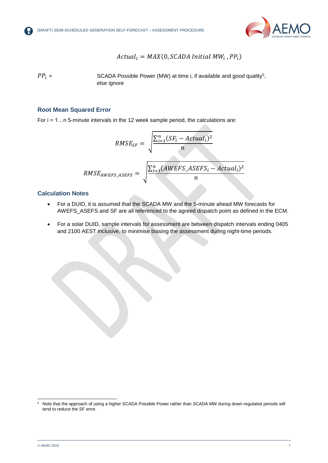

$$
Actual_i = MAX(0, SCADA Initial MW_i, PP_i)
$$

 $PP_i =$  SCADA Possible Power (MW) at time i, if available and good quality<sup>5</sup>, else ignore

#### **Root Mean Squared Error**

For i = 1…n 5-minute intervals in the 12 week sample period, the calculations are:

$$
RMSE_{SF} = \sqrt{\frac{\sum_{i=1}^{n} (SF_i - Actual_i)^2}{n}}
$$
  

$$
RMSE_{AWEFS\_ASEFS} = \sqrt{\frac{\sum_{i=1}^{n} (AWEFS\_ASEFS_i - Actual_i)^2}{n}}
$$

#### **Calculation Notes**

- For a DUID, it is assumed that the SCADA MW and the 5-minute ahead MW forecasts for AWEFS\_ASEFS and SF are all referenced to the agreed dispatch point as defined in the ECM.
- For a solar DUID, sample intervals for assessment are between dispatch intervals ending 0405 and 2100 AEST inclusive, to minimise biasing the assessment during night-time periods.

l

 $5$  Note that the approach of using a higher SCADA Possible Power rather than SCADA MW during down-regulated periods will tend to reduce the SF error.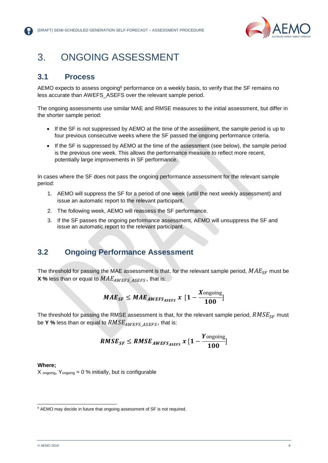

### 3. ONGOING ASSESSMENT

### **3.1 Process**

AEMO expects to assess ongoing<sup>6</sup> performance on a weekly basis, to verify that the SF remains no less accurate than AWEFS\_ASEFS over the relevant sample period.

The ongoing assessments use similar MAE and RMSE measures to the initial assessment, but differ in the shorter sample period:

- If the SF is not suppressed by AEMO at the time of the assessment, the sample period is up to four previous consecutive weeks where the SF passed the ongoing performance criteria.
- If the SF is suppressed by AEMO at the time of the assessment (see below), the sample period is the previous one week. This allows the performance measure to reflect more recent, potentially large improvements in SF performance.

In cases where the SF does not pass the ongoing performance assessment for the relevant sample period:

- 1. AEMO will suppress the SF for a period of one week (until the next weekly assessment) and issue an automatic report to the relevant participant.
- 2. The following week, AEMO will reassess the SF performance.
- 3. If the SF passes the ongoing performance assessment, AEMO will unsuppress the SF and issue an automatic report to the relevant participant.

### **3.2 Ongoing Performance Assessment**

The threshold for passing the MAE assessment is that, for the relevant sample period,  $MAE_{SE}$  must be **X** % less than or equal to  $MAE_{AWEFS|ASEFS}$ , that is:

$$
MAE_{SF} \leq MAE_{AWEFS_{ASEFS}} x \ \big[ 1 - \frac{X_{\text{ongoing}}}{100} \big]
$$

The threshold for passing the RMSE assessment is that, for the relevant sample period,  $RMSE_{SF}$  must be **Y** % less than or equal to  $RMSE_{AWEFS \; ASEFS}$ , that is:

$$
RMSE_{SF} \leq RMSE_{AWEFS_{ASEFS}} x [1-\frac{Y_{\text{ongoing}}}{100}]
$$

#### **Where;**

l

 $X_{\text{ongoing}}$ ,  $Y_{\text{ongoing}} = 0$  % initially, but is configurable

<sup>&</sup>lt;sup>6</sup> AEMO may decide in future that ongoing assessment of SF is not required.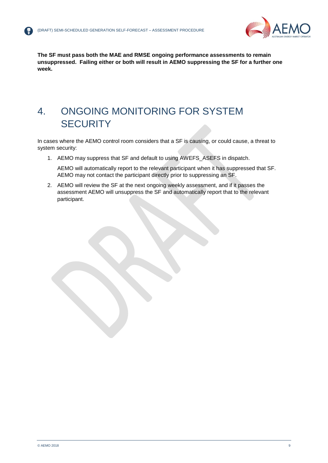

**The SF must pass both the MAE and RMSE ongoing performance assessments to remain unsuppressed. Failing either or both will result in AEMO suppressing the SF for a further one week.**

# 4. ONGOING MONITORING FOR SYSTEM **SECURITY**

In cases where the AEMO control room considers that a SF is causing, or could cause, a threat to system security:

1. AEMO may suppress that SF and default to using AWEFS\_ASEFS in dispatch.

AEMO will automatically report to the relevant participant when it has suppressed that SF. AEMO may not contact the participant directly prior to suppressing an SF.

2. AEMO will review the SF at the next ongoing weekly assessment, and if it passes the assessment AEMO will unsuppress the SF and automatically report that to the relevant participant.